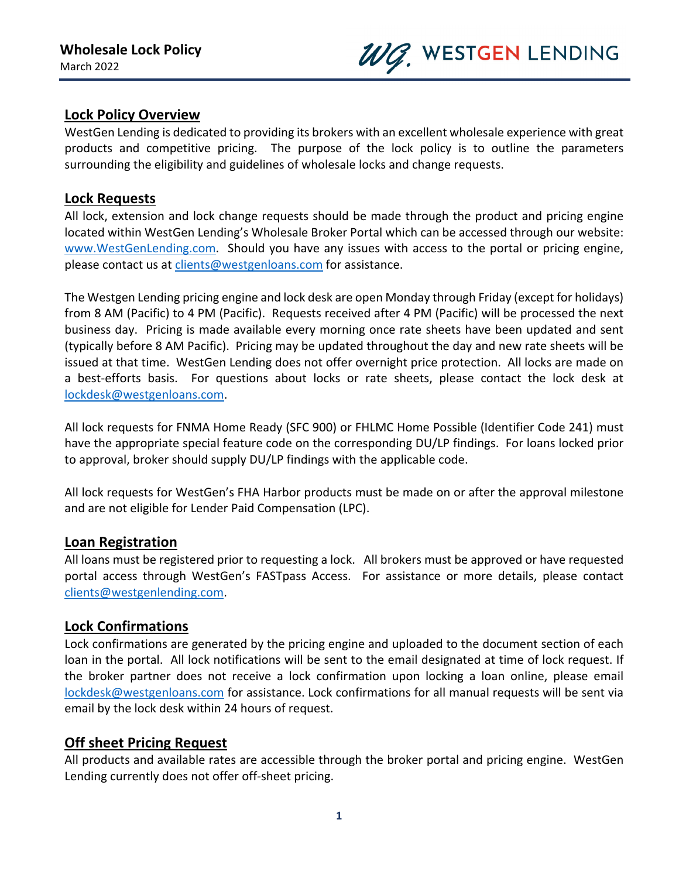## **Lock Policy Overview**

WestGen Lending is dedicated to providing its brokers with an excellent wholesale experience with great products and competitive pricing. The purpose of the lock policy is to outline the parameters surrounding the eligibility and guidelines of wholesale locks and change requests.

### **Lock Requests**

All lock, extension and lock change requests should be made through the product and pricing engine located within WestGen Lending's Wholesale Broker Portal which can be accessed through our website: www.WestGenLending.com. Should you have any issues with access to the portal or pricing engine, please contact us at clients@westgenloans.com for assistance.

The Westgen Lending pricing engine and lock desk are open Monday through Friday (except for holidays) from 8 AM (Pacific) to 4 PM (Pacific). Requests received after 4 PM (Pacific) will be processed the next business day. Pricing is made available every morning once rate sheets have been updated and sent (typically before 8 AM Pacific). Pricing may be updated throughout the day and new rate sheets will be issued at that time. WestGen Lending does not offer overnight price protection. All locks are made on a best-efforts basis. For questions about locks or rate sheets, please contact the lock desk at lockdesk@westgenloans.com.

All lock requests for FNMA Home Ready (SFC 900) or FHLMC Home Possible (Identifier Code 241) must have the appropriate special feature code on the corresponding DU/LP findings. For loans locked prior to approval, broker should supply DU/LP findings with the applicable code.

All lock requests for WestGen's FHA Harbor products must be made on or after the approval milestone and are not eligible for Lender Paid Compensation (LPC).

### **Loan Registration**

All loans must be registered prior to requesting a lock. All brokers must be approved or have requested portal access through WestGen's FASTpass Access. For assistance or more details, please contact clients@westgenlending.com.

## **Lock Confirmations**

Lock confirmations are generated by the pricing engine and uploaded to the document section of each loan in the portal. All lock notifications will be sent to the email designated at time of lock request. If the broker partner does not receive a lock confirmation upon locking a loan online, please email lockdesk@westgenloans.com for assistance. Lock confirmations for all manual requests will be sent via email by the lock desk within 24 hours of request.

### **Off sheet Pricing Request**

All products and available rates are accessible through the broker portal and pricing engine. WestGen Lending currently does not offer off‐sheet pricing.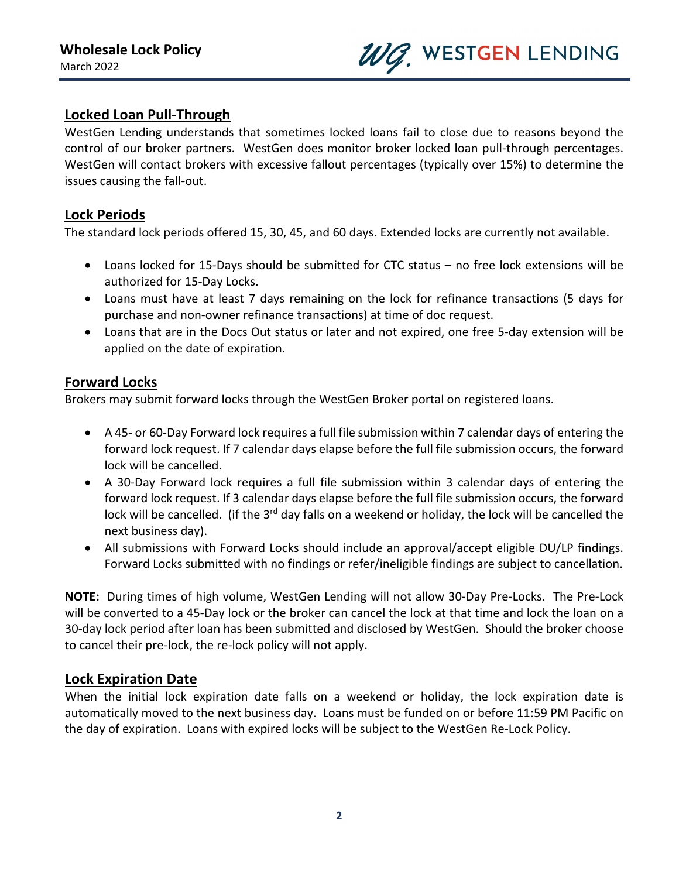# **Locked Loan Pull‐Through**

WestGen Lending understands that sometimes locked loans fail to close due to reasons beyond the control of our broker partners. WestGen does monitor broker locked loan pull-through percentages. WestGen will contact brokers with excessive fallout percentages (typically over 15%) to determine the issues causing the fall‐out.

### **Lock Periods**

The standard lock periods offered 15, 30, 45, and 60 days. Extended locks are currently not available.

- Loans locked for 15‐Days should be submitted for CTC status no free lock extensions will be authorized for 15‐Day Locks.
- Loans must have at least 7 days remaining on the lock for refinance transactions (5 days for purchase and non‐owner refinance transactions) at time of doc request.
- Loans that are in the Docs Out status or later and not expired, one free 5‐day extension will be applied on the date of expiration.

## **Forward Locks**

Brokers may submit forward locks through the WestGen Broker portal on registered loans.

- A 45‐ or 60‐Day Forward lock requires a full file submission within 7 calendar days of entering the forward lock request. If 7 calendar days elapse before the full file submission occurs, the forward lock will be cancelled.
- A 30‐Day Forward lock requires a full file submission within 3 calendar days of entering the forward lock request. If 3 calendar days elapse before the full file submission occurs, the forward lock will be cancelled. (if the  $3^{rd}$  day falls on a weekend or holiday, the lock will be cancelled the next business day).
- All submissions with Forward Locks should include an approval/accept eligible DU/LP findings. Forward Locks submitted with no findings or refer/ineligible findings are subject to cancellation.

**NOTE:** During times of high volume, WestGen Lending will not allow 30‐Day Pre‐Locks. The Pre‐Lock will be converted to a 45-Day lock or the broker can cancel the lock at that time and lock the loan on a 30‐day lock period after loan has been submitted and disclosed by WestGen. Should the broker choose to cancel their pre‐lock, the re‐lock policy will not apply.

### **Lock Expiration Date**

When the initial lock expiration date falls on a weekend or holiday, the lock expiration date is automatically moved to the next business day. Loans must be funded on or before 11:59 PM Pacific on the day of expiration. Loans with expired locks will be subject to the WestGen Re‐Lock Policy.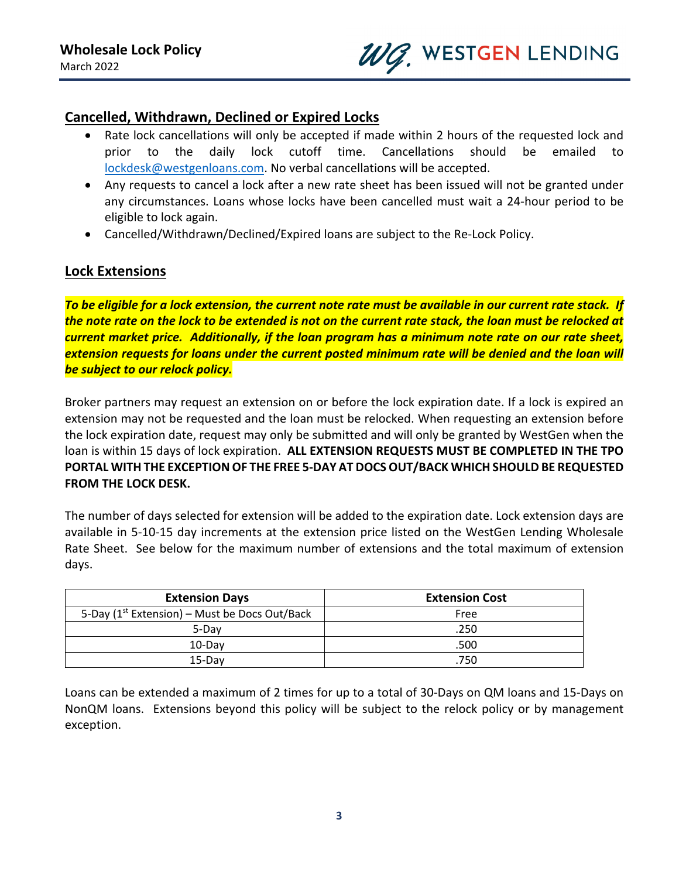### **Cancelled, Withdrawn, Declined or Expired Locks**

- Rate lock cancellations will only be accepted if made within 2 hours of the requested lock and prior to the daily lock cutoff time. Cancellations should be emailed to lockdesk@westgenloans.com. No verbal cancellations will be accepted.
- Any requests to cancel a lock after a new rate sheet has been issued will not be granted under any circumstances. Loans whose locks have been cancelled must wait a 24‐hour period to be eligible to lock again.
- Cancelled/Withdrawn/Declined/Expired loans are subject to the Re‐Lock Policy.

### **Lock Extensions**

To be eligible for a lock extension, the current note rate must be available in our current rate stack. If the note rate on the lock to be extended is not on the current rate stack, the loan must be relocked at current market price. Additionally, if the loan program has a minimum note rate on our rate sheet, *extension requests for loans under the current posted minimum rate will be denied and the loan will be subject to our relock policy.*

Broker partners may request an extension on or before the lock expiration date. If a lock is expired an extension may not be requested and the loan must be relocked. When requesting an extension before the lock expiration date, request may only be submitted and will only be granted by WestGen when the loan is within 15 days of lock expiration. **ALL EXTENSION REQUESTS MUST BE COMPLETED IN THE TPO PORTAL WITH THE EXCEPTION OF THE FREE 5‐DAY AT DOCS OUT/BACK WHICH SHOULD BE REQUESTED FROM THE LOCK DESK.**

The number of days selected for extension will be added to the expiration date. Lock extension days are available in 5‐10‐15 day increments at the extension price listed on the WestGen Lending Wholesale Rate Sheet. See below for the maximum number of extensions and the total maximum of extension days.

| <b>Extension Days</b>                               | <b>Extension Cost</b> |
|-----------------------------------------------------|-----------------------|
| 5-Day ( $1^{st}$ Extension) – Must be Docs Out/Back | Free                  |
| 5-Dav                                               | .250                  |
| $10$ -Dav                                           | .500                  |
| $15$ -Dav                                           | 750                   |

Loans can be extended a maximum of 2 times for up to a total of 30‐Days on QM loans and 15‐Days on NonQM loans. Extensions beyond this policy will be subject to the relock policy or by management exception.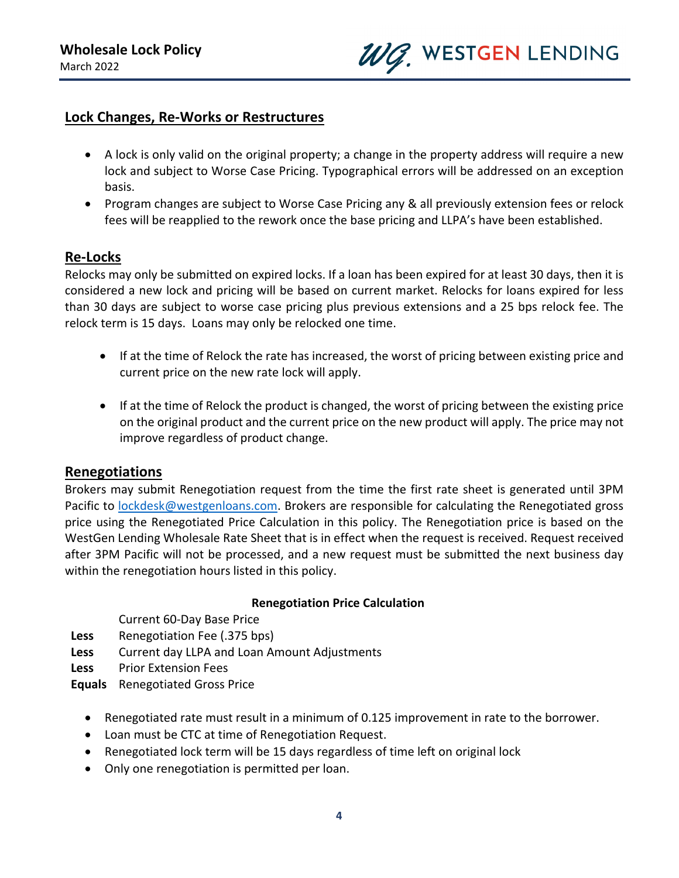### **Lock Changes, Re‐Works or Restructures**

- A lock is only valid on the original property; a change in the property address will require a new lock and subject to Worse Case Pricing. Typographical errors will be addressed on an exception basis.
- Program changes are subject to Worse Case Pricing any & all previously extension fees or relock fees will be reapplied to the rework once the base pricing and LLPA's have been established.

### **Re‐Locks**

Relocks may only be submitted on expired locks. If a loan has been expired for at least 30 days, then it is considered a new lock and pricing will be based on current market. Relocks for loans expired for less than 30 days are subject to worse case pricing plus previous extensions and a 25 bps relock fee. The relock term is 15 days. Loans may only be relocked one time.

- If at the time of Relock the rate has increased, the worst of pricing between existing price and current price on the new rate lock will apply.
- If at the time of Relock the product is changed, the worst of pricing between the existing price on the original product and the current price on the new product will apply. The price may not improve regardless of product change.

### **Renegotiations**

Brokers may submit Renegotiation request from the time the first rate sheet is generated until 3PM Pacific to lockdesk@westgenloans.com. Brokers are responsible for calculating the Renegotiated gross price using the Renegotiated Price Calculation in this policy. The Renegotiation price is based on the WestGen Lending Wholesale Rate Sheet that is in effect when the request is received. Request received after 3PM Pacific will not be processed, and a new request must be submitted the next business day within the renegotiation hours listed in this policy.

#### **Renegotiation Price Calculation**

Current 60‐Day Base Price

- **Less** Renegotiation Fee (.375 bps)
- **Less** Current day LLPA and Loan Amount Adjustments
- **Less** Prior Extension Fees
- **Equals** Renegotiated Gross Price
	- Renegotiated rate must result in a minimum of 0.125 improvement in rate to the borrower.
	- Loan must be CTC at time of Renegotiation Request.
	- Renegotiated lock term will be 15 days regardless of time left on original lock
	- Only one renegotiation is permitted per loan.